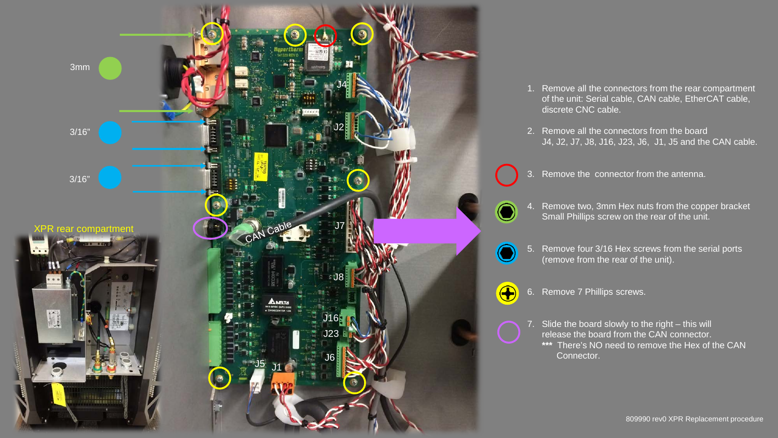

- 1. Remove all the connectors from the rear compartment of the unit: Serial cable, CAN cable, EtherCAT cable, discrete CNC cable.
- 2. Remove all the connectors from the board J4, J2, J7, J8, J16, J23, J6, J1, J5 and the CAN cable.
- 3. Remove the connector from the antenna.
- Remove two, 3mm Hex nuts from the copper bracket Small Phillips screw on the rear of the unit.
- 5. Remove four 3/16 Hex screws from the serial ports (remove from the rear of the unit).
- $\bigoplus$
- 6. Remove 7 Phillips screws.
- 7. Slide the board slowly to the right this will release the board from the CAN connector. **\*\*\*** There's NO need to remove the Hex of the CAN Connector.